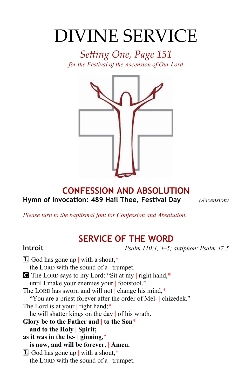# DIVINE SERVICE

*Setting One, Page 151 for the Festival of the Ascension of Our Lord*



### **CONFESSION AND ABSOLUTION Hymn of Invocation: 489 Hail Thee, Festival Day** *(Ascension)*

*Please turn to the baptismal font for Confession and Absolution.*

# **SERVICE OF THE WORD**

**Introit** *Psalm 110:1, 4–5; antiphon: Psalm 47:5*

 $\boxed{\mathbf{L}}$  God has gone up with a shout,\* the LORD with the sound of a  $|$  trumpet. C The LORD says to my Lord: "Sit at my | right hand,\* until I make your enemies your | footstool." The LORD has sworn and will not change his mind,\* "You are a priest forever after the order of Mel- | chizedek." The Lord is at your right hand;\* he will shatter kings on the day | of his wrath. **Glory be to the Father and | to the Son**\* **and to the Holy | Spirit; as it was in the be- | ginning,**\* **is now, and will be forever. | Amen.**  $[L]$  God has gone up | with a shout,\* the LORD with the sound of a  $|$  trumpet.